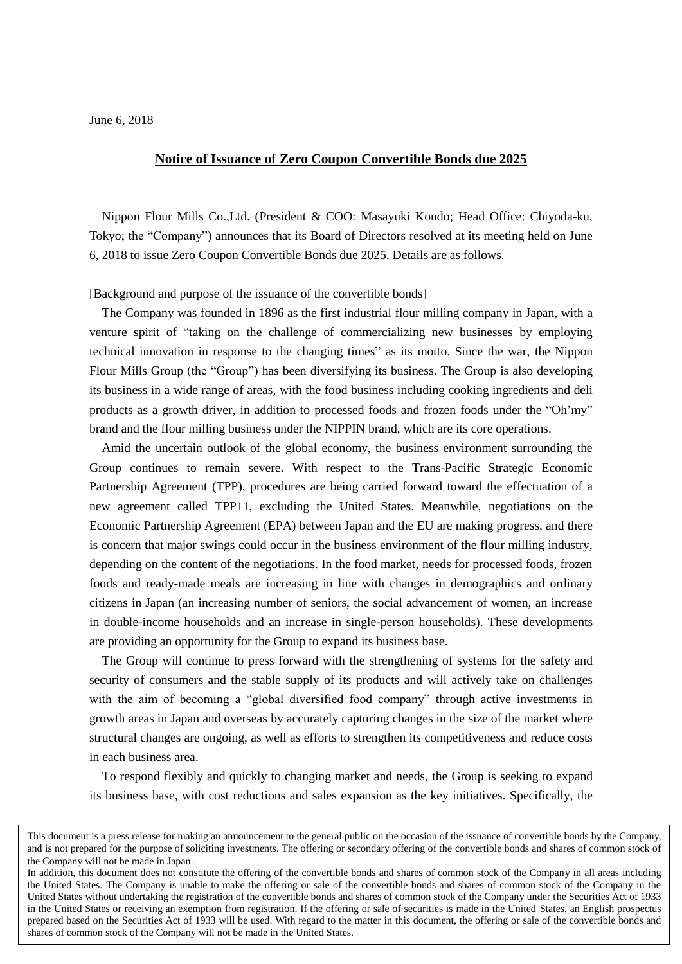## June 6, 2018

# **Notice of Issuance of Zero Coupon Convertible Bonds due 2025**

Nippon Flour Mills Co.,Ltd. (President & COO: Masayuki Kondo; Head Office: Chiyoda-ku, Tokyo; the "Company") announces that its Board of Directors resolved at its meeting held on June 6, 2018 to issue Zero Coupon Convertible Bonds due 2025. Details are as follows.

[Background and purpose of the issuance of the convertible bonds]

The Company was founded in 1896 as the first industrial flour milling company in Japan, with a venture spirit of "taking on the challenge of commercializing new businesses by employing technical innovation in response to the changing times" as its motto. Since the war, the Nippon Flour Mills Group (the "Group") has been diversifying its business. The Group is also developing its business in a wide range of areas, with the food business including cooking ingredients and deli products as a growth driver, in addition to processed foods and frozen foods under the "Oh'my" brand and the flour milling business under the NIPPIN brand, which are its core operations.

Amid the uncertain outlook of the global economy, the business environment surrounding the Group continues to remain severe. With respect to the Trans-Pacific Strategic Economic Partnership Agreement (TPP), procedures are being carried forward toward the effectuation of a new agreement called TPP11, excluding the United States. Meanwhile, negotiations on the Economic Partnership Agreement (EPA) between Japan and the EU are making progress, and there is concern that major swings could occur in the business environment of the flour milling industry, depending on the content of the negotiations. In the food market, needs for processed foods, frozen foods and ready-made meals are increasing in line with changes in demographics and ordinary citizens in Japan (an increasing number of seniors, the social advancement of women, an increase in double-income households and an increase in single-person households). These developments are providing an opportunity for the Group to expand its business base.

The Group will continue to press forward with the strengthening of systems for the safety and security of consumers and the stable supply of its products and will actively take on challenges with the aim of becoming a "global diversified food company" through active investments in growth areas in Japan and overseas by accurately capturing changes in the size of the market where structural changes are ongoing, as well as efforts to strengthen its competitiveness and reduce costs in each business area.

To respond flexibly and quickly to changing market and needs, the Group is seeking to expand its business base, with cost reductions and sales expansion as the key initiatives. Specifically, the

This document is a press release for making an announcement to the general public on the occasion of the issuance of convertible bonds by the Company, and is not prepared for the purpose of soliciting investments. The offering or secondary offering of the convertible bonds and shares of common stock of the Company will not be made in Japan.

In addition, this document does not constitute the offering of the convertible bonds and shares of common stock of the Company in all areas including the United States. The Company is unable to make the offering or sale of the convertible bonds and shares of common stock of the Company in the United States without undertaking the registration of the convertible bonds and shares of common stock of the Company under the Securities Act of 1933 in the United States or receiving an exemption from registration. If the offering or sale of securities is made in the United States, an English prospectus prepared based on the Securities Act of 1933 will be used. With regard to the matter in this document, the offering or sale of the convertible bonds and shares of common stock of the Company will not be made in the United States.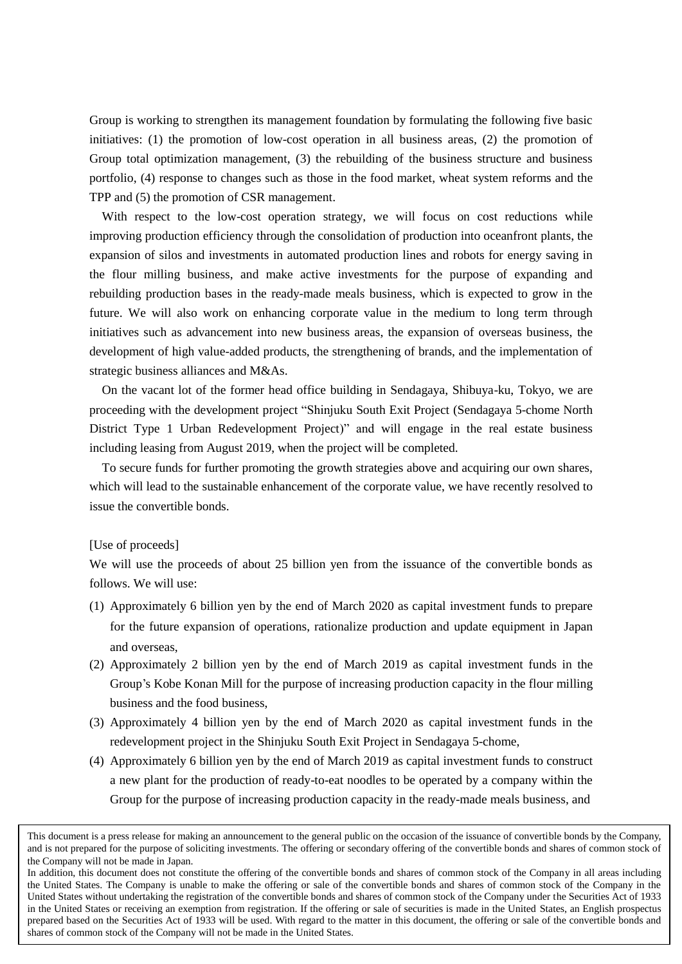Group is working to strengthen its management foundation by formulating the following five basic initiatives: (1) the promotion of low-cost operation in all business areas, (2) the promotion of Group total optimization management, (3) the rebuilding of the business structure and business portfolio, (4) response to changes such as those in the food market, wheat system reforms and the TPP and (5) the promotion of CSR management.

With respect to the low-cost operation strategy, we will focus on cost reductions while improving production efficiency through the consolidation of production into oceanfront plants, the expansion of silos and investments in automated production lines and robots for energy saving in the flour milling business, and make active investments for the purpose of expanding and rebuilding production bases in the ready-made meals business, which is expected to grow in the future. We will also work on enhancing corporate value in the medium to long term through initiatives such as advancement into new business areas, the expansion of overseas business, the development of high value-added products, the strengthening of brands, and the implementation of strategic business alliances and M&As.

On the vacant lot of the former head office building in Sendagaya, Shibuya-ku, Tokyo, we are proceeding with the development project "Shinjuku South Exit Project (Sendagaya 5-chome North District Type 1 Urban Redevelopment Project)" and will engage in the real estate business including leasing from August 2019, when the project will be completed.

To secure funds for further promoting the growth strategies above and acquiring our own shares, which will lead to the sustainable enhancement of the corporate value, we have recently resolved to issue the convertible bonds.

# [Use of proceeds]

We will use the proceeds of about 25 billion yen from the issuance of the convertible bonds as follows. We will use:

- (1) Approximately 6 billion yen by the end of March 2020 as capital investment funds to prepare for the future expansion of operations, rationalize production and update equipment in Japan and overseas,
- (2) Approximately 2 billion yen by the end of March 2019 as capital investment funds in the Group's Kobe Konan Mill for the purpose of increasing production capacity in the flour milling business and the food business,
- (3) Approximately 4 billion yen by the end of March 2020 as capital investment funds in the redevelopment project in the Shinjuku South Exit Project in Sendagaya 5-chome,
- (4) Approximately 6 billion yen by the end of March 2019 as capital investment funds to construct a new plant for the production of ready-to-eat noodles to be operated by a company within the Group for the purpose of increasing production capacity in the ready-made meals business, and

This document is a press release for making an announcement to the general public on the occasion of the issuance of convertible bonds by the Company, and is not prepared for the purpose of soliciting investments. The offering or secondary offering of the convertible bonds and shares of common stock of the Company will not be made in Japan.

In addition, this document does not constitute the offering of the convertible bonds and shares of common stock of the Company in all areas including the United States. The Company is unable to make the offering or sale of the convertible bonds and shares of common stock of the Company in the United States without undertaking the registration of the convertible bonds and shares of common stock of the Company under the Securities Act of 1933 in the United States or receiving an exemption from registration. If the offering or sale of securities is made in the United States, an English prospectus prepared based on the Securities Act of 1933 will be used. With regard to the matter in this document, the offering or sale of the convertible bonds and shares of common stock of the Company will not be made in the United States.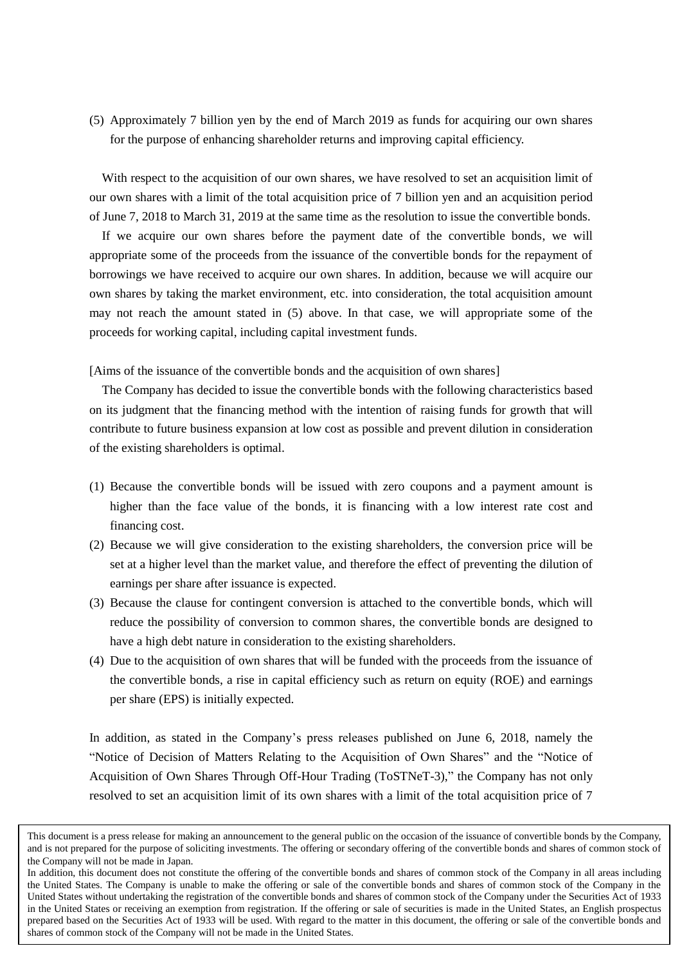(5) Approximately 7 billion yen by the end of March 2019 as funds for acquiring our own shares for the purpose of enhancing shareholder returns and improving capital efficiency.

With respect to the acquisition of our own shares, we have resolved to set an acquisition limit of our own shares with a limit of the total acquisition price of 7 billion yen and an acquisition period of June 7, 2018 to March 31, 2019 at the same time as the resolution to issue the convertible bonds.

If we acquire our own shares before the payment date of the convertible bonds, we will appropriate some of the proceeds from the issuance of the convertible bonds for the repayment of borrowings we have received to acquire our own shares. In addition, because we will acquire our own shares by taking the market environment, etc. into consideration, the total acquisition amount may not reach the amount stated in (5) above. In that case, we will appropriate some of the proceeds for working capital, including capital investment funds.

[Aims of the issuance of the convertible bonds and the acquisition of own shares]

The Company has decided to issue the convertible bonds with the following characteristics based on its judgment that the financing method with the intention of raising funds for growth that will contribute to future business expansion at low cost as possible and prevent dilution in consideration of the existing shareholders is optimal.

- (1) Because the convertible bonds will be issued with zero coupons and a payment amount is higher than the face value of the bonds, it is financing with a low interest rate cost and financing cost.
- (2) Because we will give consideration to the existing shareholders, the conversion price will be set at a higher level than the market value, and therefore the effect of preventing the dilution of earnings per share after issuance is expected.
- (3) Because the clause for contingent conversion is attached to the convertible bonds, which will reduce the possibility of conversion to common shares, the convertible bonds are designed to have a high debt nature in consideration to the existing shareholders.
- (4) Due to the acquisition of own shares that will be funded with the proceeds from the issuance of the convertible bonds, a rise in capital efficiency such as return on equity (ROE) and earnings per share (EPS) is initially expected.

In addition, as stated in the Company's press releases published on June 6, 2018, namely the "Notice of Decision of Matters Relating to the Acquisition of Own Shares" and the "Notice of Acquisition of Own Shares Through Off-Hour Trading (ToSTNeT-3)," the Company has not only resolved to set an acquisition limit of its own shares with a limit of the total acquisition price of 7

This document is a press release for making an announcement to the general public on the occasion of the issuance of convertible bonds by the Company, and is not prepared for the purpose of soliciting investments. The offering or secondary offering of the convertible bonds and shares of common stock of the Company will not be made in Japan.

In addition, this document does not constitute the offering of the convertible bonds and shares of common stock of the Company in all areas including the United States. The Company is unable to make the offering or sale of the convertible bonds and shares of common stock of the Company in the United States without undertaking the registration of the convertible bonds and shares of common stock of the Company under the Securities Act of 1933 in the United States or receiving an exemption from registration. If the offering or sale of securities is made in the United States, an English prospectus prepared based on the Securities Act of 1933 will be used. With regard to the matter in this document, the offering or sale of the convertible bonds and shares of common stock of the Company will not be made in the United States.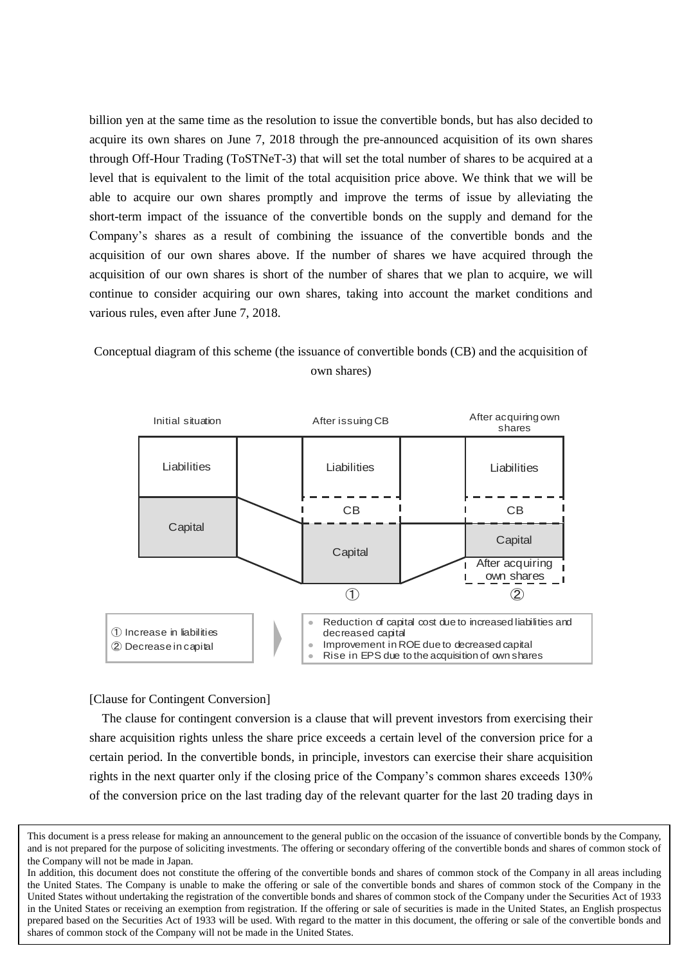billion yen at the same time as the resolution to issue the convertible bonds, but has also decided to acquire its own shares on June 7, 2018 through the pre-announced acquisition of its own shares through Off-Hour Trading (ToSTNeT-3) that will set the total number of shares to be acquired at a level that is equivalent to the limit of the total acquisition price above. We think that we will be able to acquire our own shares promptly and improve the terms of issue by alleviating the short-term impact of the issuance of the convertible bonds on the supply and demand for the Company's shares as a result of combining the issuance of the convertible bonds and the acquisition of our own shares above. If the number of shares we have acquired through the acquisition of our own shares is short of the number of shares that we plan to acquire, we will continue to consider acquiring our own shares, taking into account the market conditions and various rules, even after June 7, 2018.

# Conceptual diagram of this scheme (the issuance of convertible bonds (CB) and the acquisition of own shares)



### [Clause for Contingent Conversion]

The clause for contingent conversion is a clause that will prevent investors from exercising their share acquisition rights unless the share price exceeds a certain level of the conversion price for a certain period. In the convertible bonds, in principle, investors can exercise their share acquisition rights in the next quarter only if the closing price of the Company's common shares exceeds 130% of the conversion price on the last trading day of the relevant quarter for the last 20 trading days in

This document is a press release for making an announcement to the general public on the occasion of the issuance of convertible bonds by the Company, and is not prepared for the purpose of soliciting investments. The offering or secondary offering of the convertible bonds and shares of common stock of the Company will not be made in Japan.

In addition, this document does not constitute the offering of the convertible bonds and shares of common stock of the Company in all areas including the United States. The Company is unable to make the offering or sale of the convertible bonds and shares of common stock of the Company in the United States without undertaking the registration of the convertible bonds and shares of common stock of the Company under the Securities Act of 1933 in the United States or receiving an exemption from registration. If the offering or sale of securities is made in the United States, an English prospectus prepared based on the Securities Act of 1933 will be used. With regard to the matter in this document, the offering or sale of the convertible bonds and shares of common stock of the Company will not be made in the United States.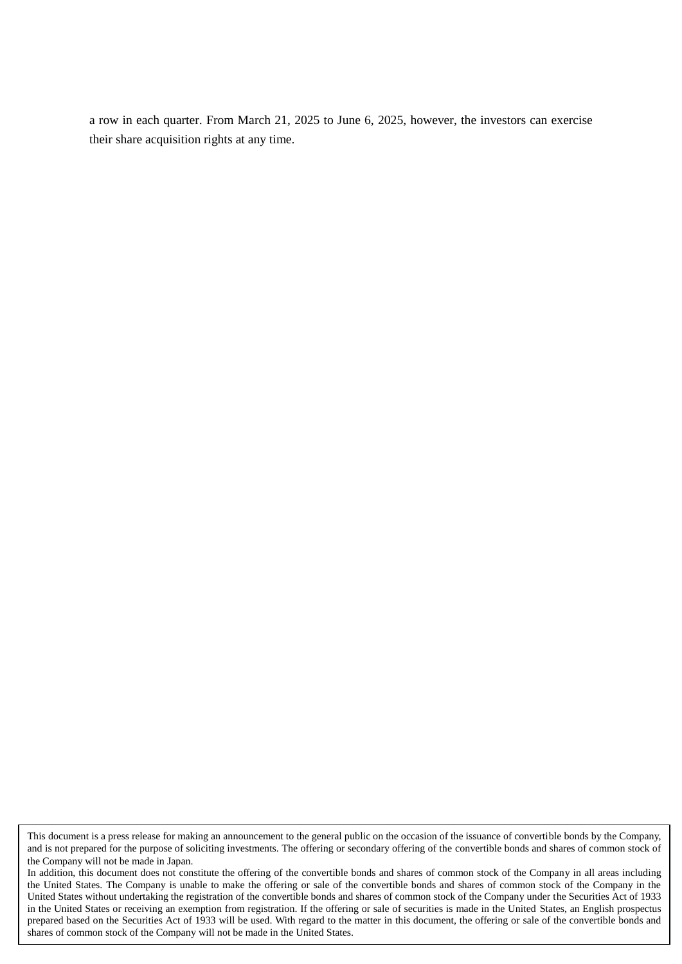a row in each quarter. From March 21, 2025 to June 6, 2025, however, the investors can exercise their share acquisition rights at any time.

This document is a press release for making an announcement to the general public on the occasion of the issuance of convertible bonds by the Company, and is not prepared for the purpose of soliciting investments. The offering or secondary offering of the convertible bonds and shares of common stock of the Company will not be made in Japan.

In addition, this document does not constitute the offering of the convertible bonds and shares of common stock of the Company in all areas including the United States. The Company is unable to make the offering or sale of the convertible bonds and shares of common stock of the Company in the United States without undertaking the registration of the convertible bonds and shares of common stock of the Company under the Securities Act of 1933 in the United States or receiving an exemption from registration. If the offering or sale of securities is made in the United States, an English prospectus prepared based on the Securities Act of 1933 will be used. With regard to the matter in this document, the offering or sale of the convertible bonds and shares of common stock of the Company will not be made in the United States.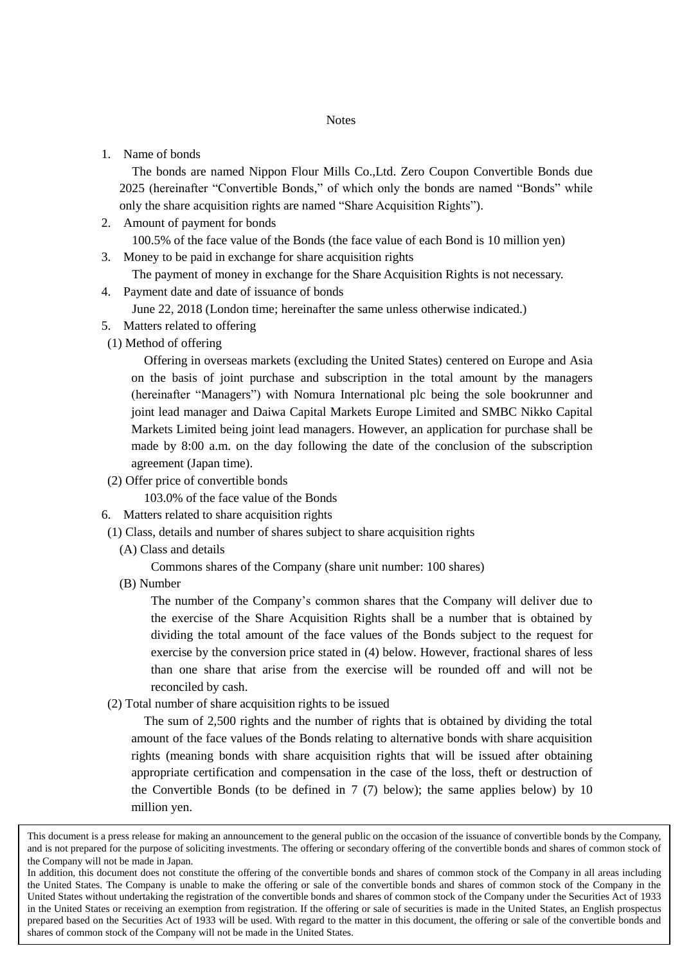1. Name of bonds

The bonds are named Nippon Flour Mills Co.,Ltd. Zero Coupon Convertible Bonds due 2025 (hereinafter "Convertible Bonds," of which only the bonds are named "Bonds" while only the share acquisition rights are named "Share Acquisition Rights").

2. Amount of payment for bonds

100.5% of the face value of the Bonds (the face value of each Bond is 10 million yen) 3. Money to be paid in exchange for share acquisition rights

The payment of money in exchange for the Share Acquisition Rights is not necessary.

4. Payment date and date of issuance of bonds

June 22, 2018 (London time; hereinafter the same unless otherwise indicated.)

- 5. Matters related to offering
- (1) Method of offering

Offering in overseas markets (excluding the United States) centered on Europe and Asia on the basis of joint purchase and subscription in the total amount by the managers (hereinafter "Managers") with Nomura International plc being the sole bookrunner and joint lead manager and Daiwa Capital Markets Europe Limited and SMBC Nikko Capital Markets Limited being joint lead managers. However, an application for purchase shall be made by 8:00 a.m. on the day following the date of the conclusion of the subscription agreement (Japan time).

(2) Offer price of convertible bonds

103.0% of the face value of the Bonds

- 6. Matters related to share acquisition rights
- (1) Class, details and number of shares subject to share acquisition rights
	- (A) Class and details

Commons shares of the Company (share unit number: 100 shares)

(B) Number

The number of the Company's common shares that the Company will deliver due to the exercise of the Share Acquisition Rights shall be a number that is obtained by dividing the total amount of the face values of the Bonds subject to the request for exercise by the conversion price stated in (4) below. However, fractional shares of less than one share that arise from the exercise will be rounded off and will not be reconciled by cash.

(2) Total number of share acquisition rights to be issued

The sum of 2,500 rights and the number of rights that is obtained by dividing the total amount of the face values of the Bonds relating to alternative bonds with share acquisition rights (meaning bonds with share acquisition rights that will be issued after obtaining appropriate certification and compensation in the case of the loss, theft or destruction of the Convertible Bonds (to be defined in 7 (7) below); the same applies below) by 10 million yen.

This document is a press release for making an announcement to the general public on the occasion of the issuance of convertible bonds by the Company, and is not prepared for the purpose of soliciting investments. The offering or secondary offering of the convertible bonds and shares of common stock of the Company will not be made in Japan.

In addition, this document does not constitute the offering of the convertible bonds and shares of common stock of the Company in all areas including the United States. The Company is unable to make the offering or sale of the convertible bonds and shares of common stock of the Company in the United States without undertaking the registration of the convertible bonds and shares of common stock of the Company under the Securities Act of 1933 in the United States or receiving an exemption from registration. If the offering or sale of securities is made in the United States, an English prospectus prepared based on the Securities Act of 1933 will be used. With regard to the matter in this document, the offering or sale of the convertible bonds and shares of common stock of the Company will not be made in the United States.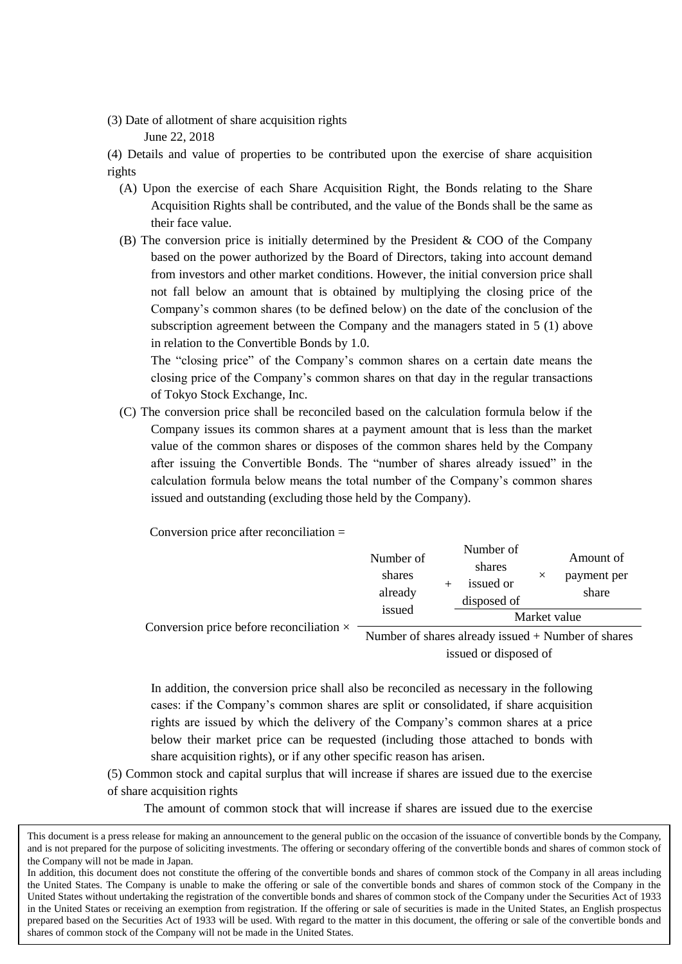(3) Date of allotment of share acquisition rights

June 22, 2018

(4) Details and value of properties to be contributed upon the exercise of share acquisition rights

- (A) Upon the exercise of each Share Acquisition Right, the Bonds relating to the Share Acquisition Rights shall be contributed, and the value of the Bonds shall be the same as their face value.
- (B) The conversion price is initially determined by the President & COO of the Company based on the power authorized by the Board of Directors, taking into account demand from investors and other market conditions. However, the initial conversion price shall not fall below an amount that is obtained by multiplying the closing price of the Company's common shares (to be defined below) on the date of the conclusion of the subscription agreement between the Company and the managers stated in 5 (1) above in relation to the Convertible Bonds by 1.0.

The "closing price" of the Company's common shares on a certain date means the closing price of the Company's common shares on that day in the regular transactions of Tokyo Stock Exchange, Inc.

(C) The conversion price shall be reconciled based on the calculation formula below if the Company issues its common shares at a payment amount that is less than the market value of the common shares or disposes of the common shares held by the Company after issuing the Convertible Bonds. The "number of shares already issued" in the calculation formula below means the total number of the Company's common shares issued and outstanding (excluding those held by the Company).

Conversion price after reconciliation =

| Conversion price before reconciliation $\times$ | issued                         | disposed of                      | Market value<br>Number of shares already issued $+$ Number of shares |
|-------------------------------------------------|--------------------------------|----------------------------------|----------------------------------------------------------------------|
|                                                 | Number of<br>shares<br>already | Number of<br>shares<br>issued or | Amount of<br>payment per<br>$\times$<br>share                        |

issued or disposed of

In addition, the conversion price shall also be reconciled as necessary in the following cases: if the Company's common shares are split or consolidated, if share acquisition rights are issued by which the delivery of the Company's common shares at a price below their market price can be requested (including those attached to bonds with share acquisition rights), or if any other specific reason has arisen.

(5) Common stock and capital surplus that will increase if shares are issued due to the exercise of share acquisition rights

The amount of common stock that will increase if shares are issued due to the exercise

This document is a press release for making an announcement to the general public on the occasion of the issuance of convertible bonds by the Company, and is not prepared for the purpose of soliciting investments. The offering or secondary offering of the convertible bonds and shares of common stock of the Company will not be made in Japan.

In addition, this document does not constitute the offering of the convertible bonds and shares of common stock of the Company in all areas including the United States. The Company is unable to make the offering or sale of the convertible bonds and shares of common stock of the Company in the United States without undertaking the registration of the convertible bonds and shares of common stock of the Company under the Securities Act of 1933 in the United States or receiving an exemption from registration. If the offering or sale of securities is made in the United States, an English prospectus prepared based on the Securities Act of 1933 will be used. With regard to the matter in this document, the offering or sale of the convertible bonds and shares of common stock of the Company will not be made in the United States.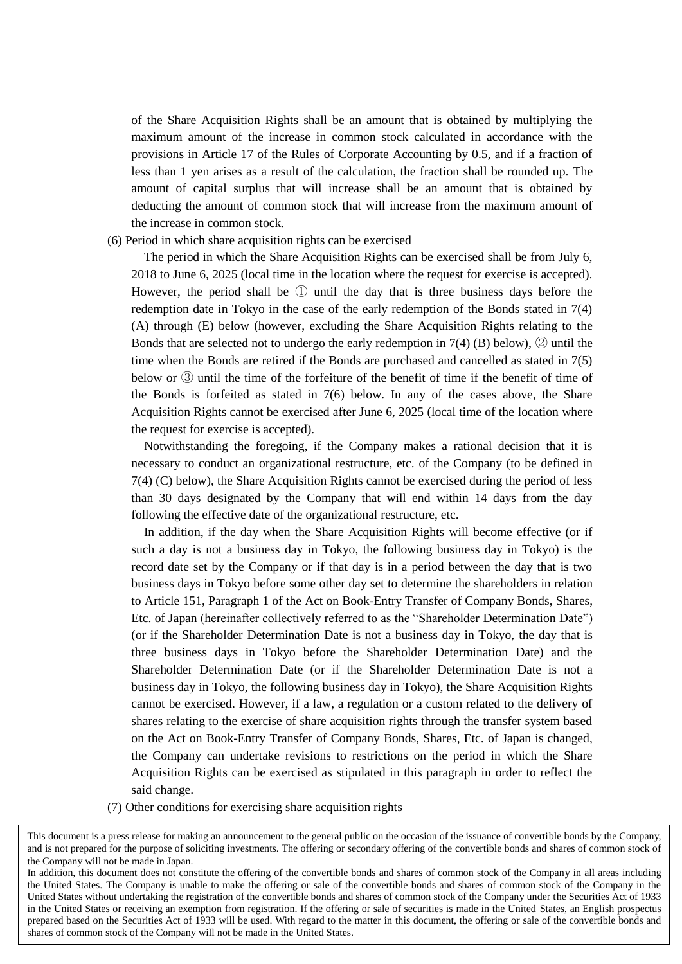of the Share Acquisition Rights shall be an amount that is obtained by multiplying the maximum amount of the increase in common stock calculated in accordance with the provisions in Article 17 of the Rules of Corporate Accounting by 0.5, and if a fraction of less than 1 yen arises as a result of the calculation, the fraction shall be rounded up. The amount of capital surplus that will increase shall be an amount that is obtained by deducting the amount of common stock that will increase from the maximum amount of the increase in common stock.

#### (6) Period in which share acquisition rights can be exercised

The period in which the Share Acquisition Rights can be exercised shall be from July 6, 2018 to June 6, 2025 (local time in the location where the request for exercise is accepted). However, the period shall be  $\mathbb D$  until the day that is three business days before the redemption date in Tokyo in the case of the early redemption of the Bonds stated in 7(4) (A) through (E) below (however, excluding the Share Acquisition Rights relating to the Bonds that are selected not to undergo the early redemption in  $7(4)$  (B) below),  $\mathcal{D}$  until the time when the Bonds are retired if the Bonds are purchased and cancelled as stated in 7(5) below or ③ until the time of the forfeiture of the benefit of time if the benefit of time of the Bonds is forfeited as stated in 7(6) below. In any of the cases above, the Share Acquisition Rights cannot be exercised after June 6, 2025 (local time of the location where the request for exercise is accepted).

Notwithstanding the foregoing, if the Company makes a rational decision that it is necessary to conduct an organizational restructure, etc. of the Company (to be defined in 7(4) (C) below), the Share Acquisition Rights cannot be exercised during the period of less than 30 days designated by the Company that will end within 14 days from the day following the effective date of the organizational restructure, etc.

In addition, if the day when the Share Acquisition Rights will become effective (or if such a day is not a business day in Tokyo, the following business day in Tokyo) is the record date set by the Company or if that day is in a period between the day that is two business days in Tokyo before some other day set to determine the shareholders in relation to Article 151, Paragraph 1 of the Act on Book-Entry Transfer of Company Bonds, Shares, Etc. of Japan (hereinafter collectively referred to as the "Shareholder Determination Date") (or if the Shareholder Determination Date is not a business day in Tokyo, the day that is three business days in Tokyo before the Shareholder Determination Date) and the Shareholder Determination Date (or if the Shareholder Determination Date is not a business day in Tokyo, the following business day in Tokyo), the Share Acquisition Rights cannot be exercised. However, if a law, a regulation or a custom related to the delivery of shares relating to the exercise of share acquisition rights through the transfer system based on the Act on Book-Entry Transfer of Company Bonds, Shares, Etc. of Japan is changed, the Company can undertake revisions to restrictions on the period in which the Share Acquisition Rights can be exercised as stipulated in this paragraph in order to reflect the said change.

(7) Other conditions for exercising share acquisition rights

This document is a press release for making an announcement to the general public on the occasion of the issuance of convertible bonds by the Company, and is not prepared for the purpose of soliciting investments. The offering or secondary offering of the convertible bonds and shares of common stock of the Company will not be made in Japan.

In addition, this document does not constitute the offering of the convertible bonds and shares of common stock of the Company in all areas including the United States. The Company is unable to make the offering or sale of the convertible bonds and shares of common stock of the Company in the United States without undertaking the registration of the convertible bonds and shares of common stock of the Company under the Securities Act of 1933 in the United States or receiving an exemption from registration. If the offering or sale of securities is made in the United States, an English prospectus prepared based on the Securities Act of 1933 will be used. With regard to the matter in this document, the offering or sale of the convertible bonds and shares of common stock of the Company will not be made in the United States.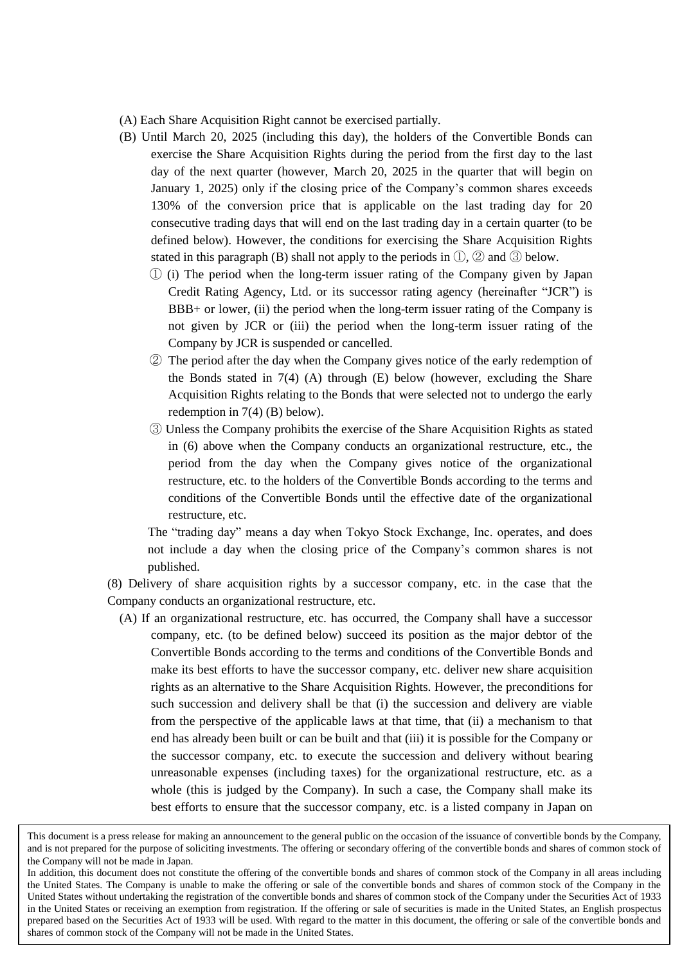- (A) Each Share Acquisition Right cannot be exercised partially.
- (B) Until March 20, 2025 (including this day), the holders of the Convertible Bonds can exercise the Share Acquisition Rights during the period from the first day to the last day of the next quarter (however, March 20, 2025 in the quarter that will begin on January 1, 2025) only if the closing price of the Company's common shares exceeds 130% of the conversion price that is applicable on the last trading day for 20 consecutive trading days that will end on the last trading day in a certain quarter (to be defined below). However, the conditions for exercising the Share Acquisition Rights stated in this paragraph (B) shall not apply to the periods in  $\mathbb{D}$ ,  $\mathbb{D}$  and  $\mathbb{D}$  below.
	- ① (i) The period when the long-term issuer rating of the Company given by Japan Credit Rating Agency, Ltd. or its successor rating agency (hereinafter "JCR") is BBB+ or lower, (ii) the period when the long-term issuer rating of the Company is not given by JCR or (iii) the period when the long-term issuer rating of the Company by JCR is suspended or cancelled.
	- ② The period after the day when the Company gives notice of the early redemption of the Bonds stated in 7(4) (A) through (E) below (however, excluding the Share Acquisition Rights relating to the Bonds that were selected not to undergo the early redemption in 7(4) (B) below).
	- ③ Unless the Company prohibits the exercise of the Share Acquisition Rights as stated in (6) above when the Company conducts an organizational restructure, etc., the period from the day when the Company gives notice of the organizational restructure, etc. to the holders of the Convertible Bonds according to the terms and conditions of the Convertible Bonds until the effective date of the organizational restructure, etc.

The "trading day" means a day when Tokyo Stock Exchange, Inc. operates, and does not include a day when the closing price of the Company's common shares is not published.

(8) Delivery of share acquisition rights by a successor company, etc. in the case that the Company conducts an organizational restructure, etc.

(A) If an organizational restructure, etc. has occurred, the Company shall have a successor company, etc. (to be defined below) succeed its position as the major debtor of the Convertible Bonds according to the terms and conditions of the Convertible Bonds and make its best efforts to have the successor company, etc. deliver new share acquisition rights as an alternative to the Share Acquisition Rights. However, the preconditions for such succession and delivery shall be that (i) the succession and delivery are viable from the perspective of the applicable laws at that time, that (ii) a mechanism to that end has already been built or can be built and that (iii) it is possible for the Company or the successor company, etc. to execute the succession and delivery without bearing unreasonable expenses (including taxes) for the organizational restructure, etc. as a whole (this is judged by the Company). In such a case, the Company shall make its best efforts to ensure that the successor company, etc. is a listed company in Japan on

This document is a press release for making an announcement to the general public on the occasion of the issuance of convertible bonds by the Company, and is not prepared for the purpose of soliciting investments. The offering or secondary offering of the convertible bonds and shares of common stock of the Company will not be made in Japan.

In addition, this document does not constitute the offering of the convertible bonds and shares of common stock of the Company in all areas including the United States. The Company is unable to make the offering or sale of the convertible bonds and shares of common stock of the Company in the United States without undertaking the registration of the convertible bonds and shares of common stock of the Company under the Securities Act of 1933 in the United States or receiving an exemption from registration. If the offering or sale of securities is made in the United States, an English prospectus prepared based on the Securities Act of 1933 will be used. With regard to the matter in this document, the offering or sale of the convertible bonds and shares of common stock of the Company will not be made in the United States.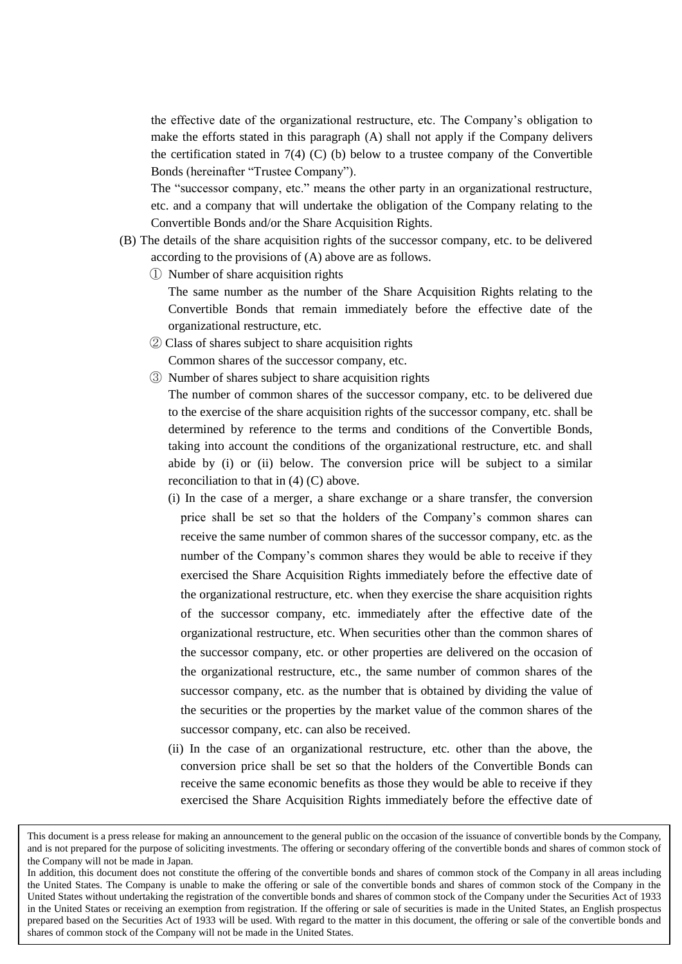the effective date of the organizational restructure, etc. The Company's obligation to make the efforts stated in this paragraph (A) shall not apply if the Company delivers the certification stated in  $7(4)$  (C) (b) below to a trustee company of the Convertible Bonds (hereinafter "Trustee Company").

The "successor company, etc." means the other party in an organizational restructure, etc. and a company that will undertake the obligation of the Company relating to the Convertible Bonds and/or the Share Acquisition Rights.

- (B) The details of the share acquisition rights of the successor company, etc. to be delivered according to the provisions of (A) above are as follows.
	- ① Number of share acquisition rights

The same number as the number of the Share Acquisition Rights relating to the Convertible Bonds that remain immediately before the effective date of the organizational restructure, etc.

② Class of shares subject to share acquisition rights

Common shares of the successor company, etc.

③ Number of shares subject to share acquisition rights

The number of common shares of the successor company, etc. to be delivered due to the exercise of the share acquisition rights of the successor company, etc. shall be determined by reference to the terms and conditions of the Convertible Bonds, taking into account the conditions of the organizational restructure, etc. and shall abide by (i) or (ii) below. The conversion price will be subject to a similar reconciliation to that in (4) (C) above.

- (i) In the case of a merger, a share exchange or a share transfer, the conversion price shall be set so that the holders of the Company's common shares can receive the same number of common shares of the successor company, etc. as the number of the Company's common shares they would be able to receive if they exercised the Share Acquisition Rights immediately before the effective date of the organizational restructure, etc. when they exercise the share acquisition rights of the successor company, etc. immediately after the effective date of the organizational restructure, etc. When securities other than the common shares of the successor company, etc. or other properties are delivered on the occasion of the organizational restructure, etc., the same number of common shares of the successor company, etc. as the number that is obtained by dividing the value of the securities or the properties by the market value of the common shares of the successor company, etc. can also be received.
- (ii) In the case of an organizational restructure, etc. other than the above, the conversion price shall be set so that the holders of the Convertible Bonds can receive the same economic benefits as those they would be able to receive if they exercised the Share Acquisition Rights immediately before the effective date of

This document is a press release for making an announcement to the general public on the occasion of the issuance of convertible bonds by the Company, and is not prepared for the purpose of soliciting investments. The offering or secondary offering of the convertible bonds and shares of common stock of the Company will not be made in Japan.

In addition, this document does not constitute the offering of the convertible bonds and shares of common stock of the Company in all areas including the United States. The Company is unable to make the offering or sale of the convertible bonds and shares of common stock of the Company in the United States without undertaking the registration of the convertible bonds and shares of common stock of the Company under the Securities Act of 1933 in the United States or receiving an exemption from registration. If the offering or sale of securities is made in the United States, an English prospectus prepared based on the Securities Act of 1933 will be used. With regard to the matter in this document, the offering or sale of the convertible bonds and shares of common stock of the Company will not be made in the United States.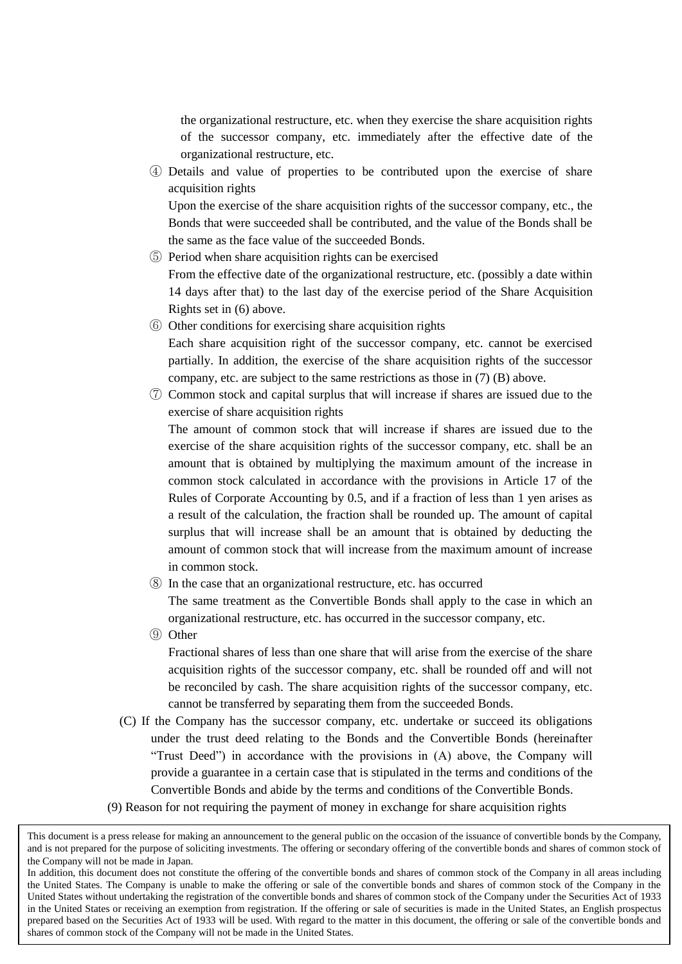the organizational restructure, etc. when they exercise the share acquisition rights of the successor company, etc. immediately after the effective date of the organizational restructure, etc.

④ Details and value of properties to be contributed upon the exercise of share acquisition rights

Upon the exercise of the share acquisition rights of the successor company, etc., the Bonds that were succeeded shall be contributed, and the value of the Bonds shall be the same as the face value of the succeeded Bonds.

- ⑤ Period when share acquisition rights can be exercised From the effective date of the organizational restructure, etc. (possibly a date within 14 days after that) to the last day of the exercise period of the Share Acquisition Rights set in (6) above.
- ⑥ Other conditions for exercising share acquisition rights Each share acquisition right of the successor company, etc. cannot be exercised partially. In addition, the exercise of the share acquisition rights of the successor company, etc. are subject to the same restrictions as those in (7) (B) above.
- ⑦ Common stock and capital surplus that will increase if shares are issued due to the exercise of share acquisition rights

The amount of common stock that will increase if shares are issued due to the exercise of the share acquisition rights of the successor company, etc. shall be an amount that is obtained by multiplying the maximum amount of the increase in common stock calculated in accordance with the provisions in Article 17 of the Rules of Corporate Accounting by 0.5, and if a fraction of less than 1 yen arises as a result of the calculation, the fraction shall be rounded up. The amount of capital surplus that will increase shall be an amount that is obtained by deducting the amount of common stock that will increase from the maximum amount of increase in common stock.

⑧ In the case that an organizational restructure, etc. has occurred

The same treatment as the Convertible Bonds shall apply to the case in which an organizational restructure, etc. has occurred in the successor company, etc.

⑨ Other

Fractional shares of less than one share that will arise from the exercise of the share acquisition rights of the successor company, etc. shall be rounded off and will not be reconciled by cash. The share acquisition rights of the successor company, etc. cannot be transferred by separating them from the succeeded Bonds.

- (C) If the Company has the successor company, etc. undertake or succeed its obligations under the trust deed relating to the Bonds and the Convertible Bonds (hereinafter "Trust Deed") in accordance with the provisions in (A) above, the Company will provide a guarantee in a certain case that is stipulated in the terms and conditions of the Convertible Bonds and abide by the terms and conditions of the Convertible Bonds.
- (9) Reason for not requiring the payment of money in exchange for share acquisition rights

This document is a press release for making an announcement to the general public on the occasion of the issuance of convertible bonds by the Company, and is not prepared for the purpose of soliciting investments. The offering or secondary offering of the convertible bonds and shares of common stock of the Company will not be made in Japan.

In addition, this document does not constitute the offering of the convertible bonds and shares of common stock of the Company in all areas including the United States. The Company is unable to make the offering or sale of the convertible bonds and shares of common stock of the Company in the United States without undertaking the registration of the convertible bonds and shares of common stock of the Company under the Securities Act of 1933 in the United States or receiving an exemption from registration. If the offering or sale of securities is made in the United States, an English prospectus prepared based on the Securities Act of 1933 will be used. With regard to the matter in this document, the offering or sale of the convertible bonds and shares of common stock of the Company will not be made in the United States.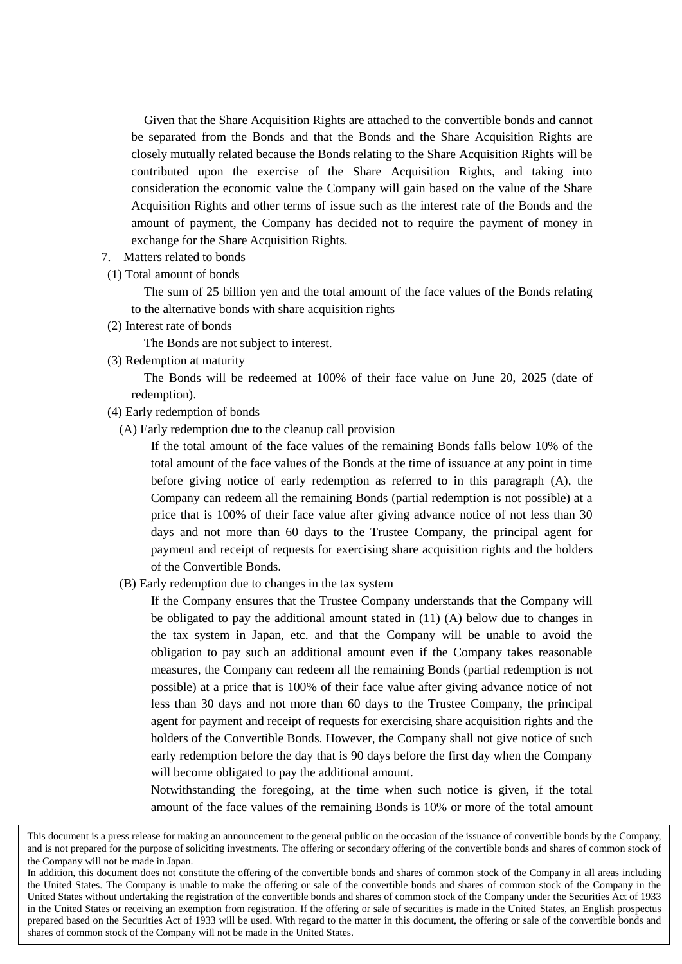Given that the Share Acquisition Rights are attached to the convertible bonds and cannot be separated from the Bonds and that the Bonds and the Share Acquisition Rights are closely mutually related because the Bonds relating to the Share Acquisition Rights will be contributed upon the exercise of the Share Acquisition Rights, and taking into consideration the economic value the Company will gain based on the value of the Share Acquisition Rights and other terms of issue such as the interest rate of the Bonds and the amount of payment, the Company has decided not to require the payment of money in exchange for the Share Acquisition Rights.

- 7. Matters related to bonds
- (1) Total amount of bonds

The sum of 25 billion yen and the total amount of the face values of the Bonds relating to the alternative bonds with share acquisition rights

(2) Interest rate of bonds

The Bonds are not subject to interest.

(3) Redemption at maturity

The Bonds will be redeemed at 100% of their face value on June 20, 2025 (date of redemption).

- (4) Early redemption of bonds
	- (A) Early redemption due to the cleanup call provision

If the total amount of the face values of the remaining Bonds falls below 10% of the total amount of the face values of the Bonds at the time of issuance at any point in time before giving notice of early redemption as referred to in this paragraph (A), the Company can redeem all the remaining Bonds (partial redemption is not possible) at a price that is 100% of their face value after giving advance notice of not less than 30 days and not more than 60 days to the Trustee Company, the principal agent for payment and receipt of requests for exercising share acquisition rights and the holders of the Convertible Bonds.

(B) Early redemption due to changes in the tax system

If the Company ensures that the Trustee Company understands that the Company will be obligated to pay the additional amount stated in (11) (A) below due to changes in the tax system in Japan, etc. and that the Company will be unable to avoid the obligation to pay such an additional amount even if the Company takes reasonable measures, the Company can redeem all the remaining Bonds (partial redemption is not possible) at a price that is 100% of their face value after giving advance notice of not less than 30 days and not more than 60 days to the Trustee Company, the principal agent for payment and receipt of requests for exercising share acquisition rights and the holders of the Convertible Bonds. However, the Company shall not give notice of such early redemption before the day that is 90 days before the first day when the Company will become obligated to pay the additional amount.

Notwithstanding the foregoing, at the time when such notice is given, if the total amount of the face values of the remaining Bonds is 10% or more of the total amount

This document is a press release for making an announcement to the general public on the occasion of the issuance of convertible bonds by the Company, and is not prepared for the purpose of soliciting investments. The offering or secondary offering of the convertible bonds and shares of common stock of the Company will not be made in Japan.

In addition, this document does not constitute the offering of the convertible bonds and shares of common stock of the Company in all areas including the United States. The Company is unable to make the offering or sale of the convertible bonds and shares of common stock of the Company in the United States without undertaking the registration of the convertible bonds and shares of common stock of the Company under the Securities Act of 1933 in the United States or receiving an exemption from registration. If the offering or sale of securities is made in the United States, an English prospectus prepared based on the Securities Act of 1933 will be used. With regard to the matter in this document, the offering or sale of the convertible bonds and shares of common stock of the Company will not be made in the United States.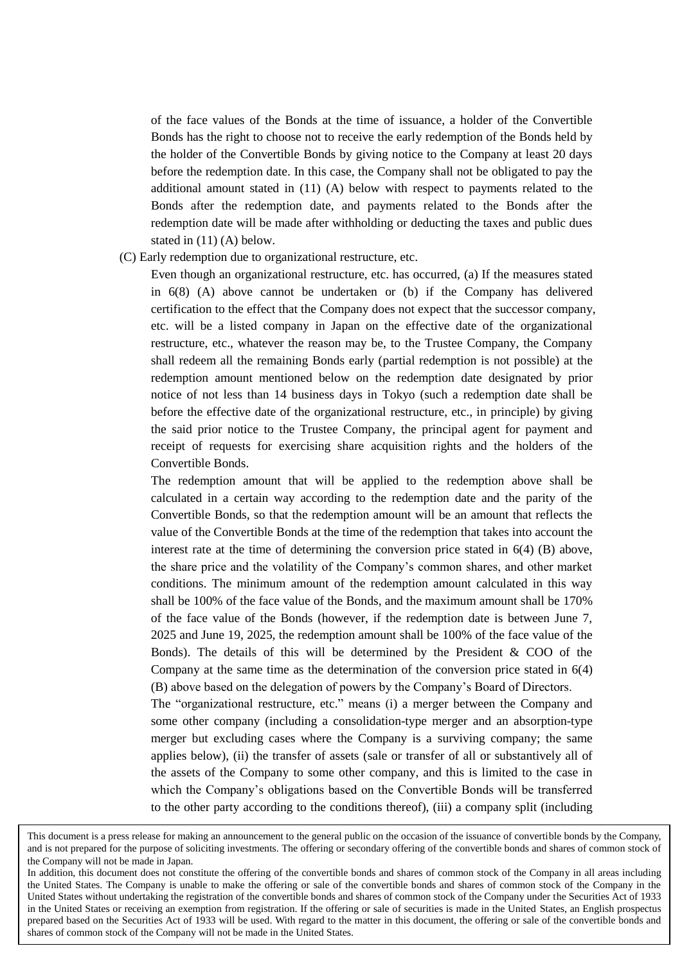of the face values of the Bonds at the time of issuance, a holder of the Convertible Bonds has the right to choose not to receive the early redemption of the Bonds held by the holder of the Convertible Bonds by giving notice to the Company at least 20 days before the redemption date. In this case, the Company shall not be obligated to pay the additional amount stated in (11) (A) below with respect to payments related to the Bonds after the redemption date, and payments related to the Bonds after the redemption date will be made after withholding or deducting the taxes and public dues stated in (11) (A) below.

## (C) Early redemption due to organizational restructure, etc.

Even though an organizational restructure, etc. has occurred, (a) If the measures stated in 6(8) (A) above cannot be undertaken or (b) if the Company has delivered certification to the effect that the Company does not expect that the successor company, etc. will be a listed company in Japan on the effective date of the organizational restructure, etc., whatever the reason may be, to the Trustee Company, the Company shall redeem all the remaining Bonds early (partial redemption is not possible) at the redemption amount mentioned below on the redemption date designated by prior notice of not less than 14 business days in Tokyo (such a redemption date shall be before the effective date of the organizational restructure, etc., in principle) by giving the said prior notice to the Trustee Company, the principal agent for payment and receipt of requests for exercising share acquisition rights and the holders of the Convertible Bonds.

The redemption amount that will be applied to the redemption above shall be calculated in a certain way according to the redemption date and the parity of the Convertible Bonds, so that the redemption amount will be an amount that reflects the value of the Convertible Bonds at the time of the redemption that takes into account the interest rate at the time of determining the conversion price stated in 6(4) (B) above, the share price and the volatility of the Company's common shares, and other market conditions. The minimum amount of the redemption amount calculated in this way shall be 100% of the face value of the Bonds, and the maximum amount shall be 170% of the face value of the Bonds (however, if the redemption date is between June 7, 2025 and June 19, 2025, the redemption amount shall be 100% of the face value of the Bonds). The details of this will be determined by the President & COO of the Company at the same time as the determination of the conversion price stated in 6(4) (B) above based on the delegation of powers by the Company's Board of Directors.

The "organizational restructure, etc." means (i) a merger between the Company and some other company (including a consolidation-type merger and an absorption-type merger but excluding cases where the Company is a surviving company; the same applies below), (ii) the transfer of assets (sale or transfer of all or substantively all of the assets of the Company to some other company, and this is limited to the case in which the Company's obligations based on the Convertible Bonds will be transferred to the other party according to the conditions thereof), (iii) a company split (including

This document is a press release for making an announcement to the general public on the occasion of the issuance of convertible bonds by the Company, and is not prepared for the purpose of soliciting investments. The offering or secondary offering of the convertible bonds and shares of common stock of the Company will not be made in Japan.

In addition, this document does not constitute the offering of the convertible bonds and shares of common stock of the Company in all areas including the United States. The Company is unable to make the offering or sale of the convertible bonds and shares of common stock of the Company in the United States without undertaking the registration of the convertible bonds and shares of common stock of the Company under the Securities Act of 1933 in the United States or receiving an exemption from registration. If the offering or sale of securities is made in the United States, an English prospectus prepared based on the Securities Act of 1933 will be used. With regard to the matter in this document, the offering or sale of the convertible bonds and shares of common stock of the Company will not be made in the United States.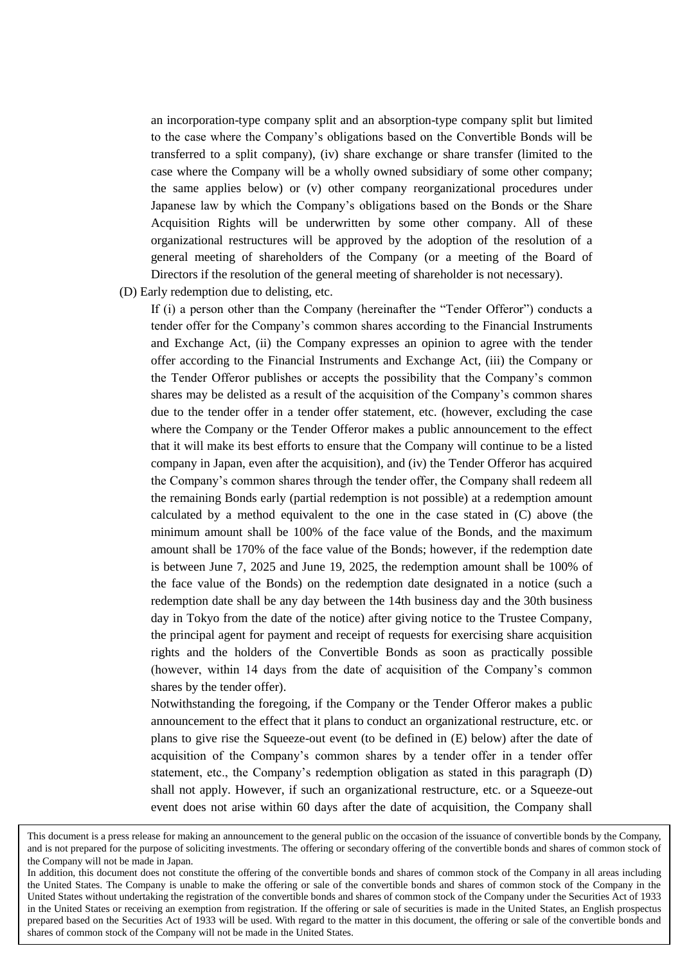an incorporation-type company split and an absorption-type company split but limited to the case where the Company's obligations based on the Convertible Bonds will be transferred to a split company), (iv) share exchange or share transfer (limited to the case where the Company will be a wholly owned subsidiary of some other company; the same applies below) or (v) other company reorganizational procedures under Japanese law by which the Company's obligations based on the Bonds or the Share Acquisition Rights will be underwritten by some other company. All of these organizational restructures will be approved by the adoption of the resolution of a general meeting of shareholders of the Company (or a meeting of the Board of Directors if the resolution of the general meeting of shareholder is not necessary).

(D) Early redemption due to delisting, etc.

If (i) a person other than the Company (hereinafter the "Tender Offeror") conducts a tender offer for the Company's common shares according to the Financial Instruments and Exchange Act, (ii) the Company expresses an opinion to agree with the tender offer according to the Financial Instruments and Exchange Act, (iii) the Company or the Tender Offeror publishes or accepts the possibility that the Company's common shares may be delisted as a result of the acquisition of the Company's common shares due to the tender offer in a tender offer statement, etc. (however, excluding the case where the Company or the Tender Offeror makes a public announcement to the effect that it will make its best efforts to ensure that the Company will continue to be a listed company in Japan, even after the acquisition), and (iv) the Tender Offeror has acquired the Company's common shares through the tender offer, the Company shall redeem all the remaining Bonds early (partial redemption is not possible) at a redemption amount calculated by a method equivalent to the one in the case stated in (C) above (the minimum amount shall be 100% of the face value of the Bonds, and the maximum amount shall be 170% of the face value of the Bonds; however, if the redemption date is between June 7, 2025 and June 19, 2025, the redemption amount shall be 100% of the face value of the Bonds) on the redemption date designated in a notice (such a redemption date shall be any day between the 14th business day and the 30th business day in Tokyo from the date of the notice) after giving notice to the Trustee Company, the principal agent for payment and receipt of requests for exercising share acquisition rights and the holders of the Convertible Bonds as soon as practically possible (however, within 14 days from the date of acquisition of the Company's common shares by the tender offer).

Notwithstanding the foregoing, if the Company or the Tender Offeror makes a public announcement to the effect that it plans to conduct an organizational restructure, etc. or plans to give rise the Squeeze-out event (to be defined in (E) below) after the date of acquisition of the Company's common shares by a tender offer in a tender offer statement, etc., the Company's redemption obligation as stated in this paragraph (D) shall not apply. However, if such an organizational restructure, etc. or a Squeeze-out event does not arise within 60 days after the date of acquisition, the Company shall

This document is a press release for making an announcement to the general public on the occasion of the issuance of convertible bonds by the Company, and is not prepared for the purpose of soliciting investments. The offering or secondary offering of the convertible bonds and shares of common stock of the Company will not be made in Japan.

In addition, this document does not constitute the offering of the convertible bonds and shares of common stock of the Company in all areas including the United States. The Company is unable to make the offering or sale of the convertible bonds and shares of common stock of the Company in the United States without undertaking the registration of the convertible bonds and shares of common stock of the Company under the Securities Act of 1933 in the United States or receiving an exemption from registration. If the offering or sale of securities is made in the United States, an English prospectus prepared based on the Securities Act of 1933 will be used. With regard to the matter in this document, the offering or sale of the convertible bonds and shares of common stock of the Company will not be made in the United States.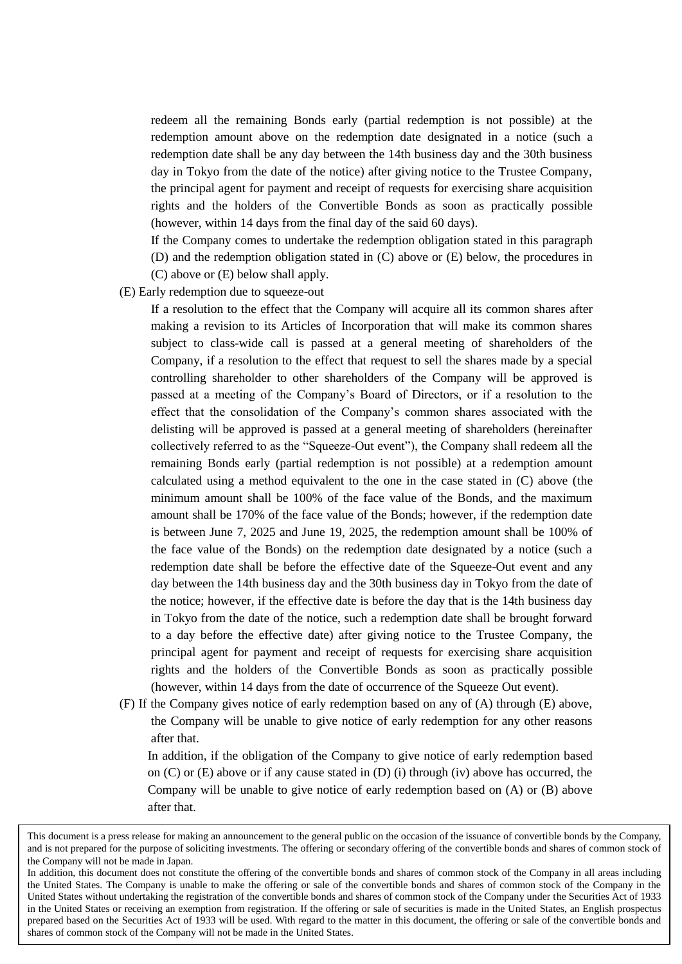redeem all the remaining Bonds early (partial redemption is not possible) at the redemption amount above on the redemption date designated in a notice (such a redemption date shall be any day between the 14th business day and the 30th business day in Tokyo from the date of the notice) after giving notice to the Trustee Company, the principal agent for payment and receipt of requests for exercising share acquisition rights and the holders of the Convertible Bonds as soon as practically possible (however, within 14 days from the final day of the said 60 days).

If the Company comes to undertake the redemption obligation stated in this paragraph (D) and the redemption obligation stated in (C) above or (E) below, the procedures in (C) above or (E) below shall apply.

(E) Early redemption due to squeeze-out

If a resolution to the effect that the Company will acquire all its common shares after making a revision to its Articles of Incorporation that will make its common shares subject to class-wide call is passed at a general meeting of shareholders of the Company, if a resolution to the effect that request to sell the shares made by a special controlling shareholder to other shareholders of the Company will be approved is passed at a meeting of the Company's Board of Directors, or if a resolution to the effect that the consolidation of the Company's common shares associated with the delisting will be approved is passed at a general meeting of shareholders (hereinafter collectively referred to as the "Squeeze-Out event"), the Company shall redeem all the remaining Bonds early (partial redemption is not possible) at a redemption amount calculated using a method equivalent to the one in the case stated in (C) above (the minimum amount shall be 100% of the face value of the Bonds, and the maximum amount shall be 170% of the face value of the Bonds; however, if the redemption date is between June 7, 2025 and June 19, 2025, the redemption amount shall be 100% of the face value of the Bonds) on the redemption date designated by a notice (such a redemption date shall be before the effective date of the Squeeze-Out event and any day between the 14th business day and the 30th business day in Tokyo from the date of the notice; however, if the effective date is before the day that is the 14th business day in Tokyo from the date of the notice, such a redemption date shall be brought forward to a day before the effective date) after giving notice to the Trustee Company, the principal agent for payment and receipt of requests for exercising share acquisition rights and the holders of the Convertible Bonds as soon as practically possible (however, within 14 days from the date of occurrence of the Squeeze Out event).

(F) If the Company gives notice of early redemption based on any of (A) through (E) above, the Company will be unable to give notice of early redemption for any other reasons after that.

In addition, if the obligation of the Company to give notice of early redemption based on  $(C)$  or  $(E)$  above or if any cause stated in  $(D)$  (i) through (iv) above has occurred, the Company will be unable to give notice of early redemption based on (A) or (B) above after that.

This document is a press release for making an announcement to the general public on the occasion of the issuance of convertible bonds by the Company, and is not prepared for the purpose of soliciting investments. The offering or secondary offering of the convertible bonds and shares of common stock of the Company will not be made in Japan.

In addition, this document does not constitute the offering of the convertible bonds and shares of common stock of the Company in all areas including the United States. The Company is unable to make the offering or sale of the convertible bonds and shares of common stock of the Company in the United States without undertaking the registration of the convertible bonds and shares of common stock of the Company under the Securities Act of 1933 in the United States or receiving an exemption from registration. If the offering or sale of securities is made in the United States, an English prospectus prepared based on the Securities Act of 1933 will be used. With regard to the matter in this document, the offering or sale of the convertible bonds and shares of common stock of the Company will not be made in the United States.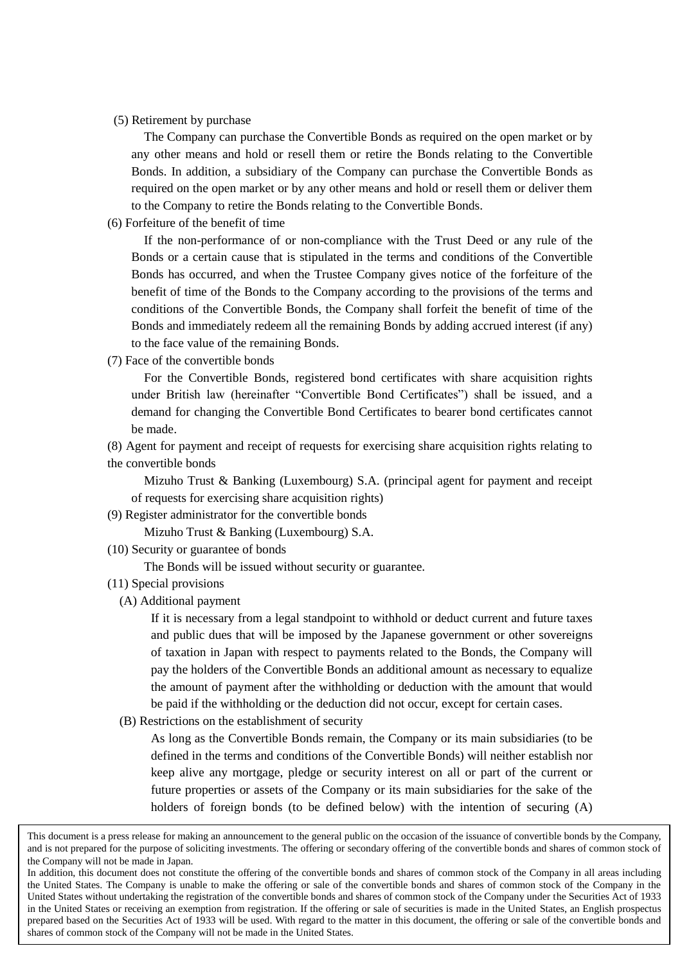#### (5) Retirement by purchase

The Company can purchase the Convertible Bonds as required on the open market or by any other means and hold or resell them or retire the Bonds relating to the Convertible Bonds. In addition, a subsidiary of the Company can purchase the Convertible Bonds as required on the open market or by any other means and hold or resell them or deliver them to the Company to retire the Bonds relating to the Convertible Bonds.

(6) Forfeiture of the benefit of time

If the non-performance of or non-compliance with the Trust Deed or any rule of the Bonds or a certain cause that is stipulated in the terms and conditions of the Convertible Bonds has occurred, and when the Trustee Company gives notice of the forfeiture of the benefit of time of the Bonds to the Company according to the provisions of the terms and conditions of the Convertible Bonds, the Company shall forfeit the benefit of time of the Bonds and immediately redeem all the remaining Bonds by adding accrued interest (if any) to the face value of the remaining Bonds.

(7) Face of the convertible bonds

For the Convertible Bonds, registered bond certificates with share acquisition rights under British law (hereinafter "Convertible Bond Certificates") shall be issued, and a demand for changing the Convertible Bond Certificates to bearer bond certificates cannot be made.

(8) Agent for payment and receipt of requests for exercising share acquisition rights relating to the convertible bonds

Mizuho Trust & Banking (Luxembourg) S.A. (principal agent for payment and receipt of requests for exercising share acquisition rights)

(9) Register administrator for the convertible bonds

Mizuho Trust & Banking (Luxembourg) S.A.

(10) Security or guarantee of bonds

The Bonds will be issued without security or guarantee.

- (11) Special provisions
	- (A) Additional payment

If it is necessary from a legal standpoint to withhold or deduct current and future taxes and public dues that will be imposed by the Japanese government or other sovereigns of taxation in Japan with respect to payments related to the Bonds, the Company will pay the holders of the Convertible Bonds an additional amount as necessary to equalize the amount of payment after the withholding or deduction with the amount that would be paid if the withholding or the deduction did not occur, except for certain cases.

(B) Restrictions on the establishment of security

As long as the Convertible Bonds remain, the Company or its main subsidiaries (to be defined in the terms and conditions of the Convertible Bonds) will neither establish nor keep alive any mortgage, pledge or security interest on all or part of the current or future properties or assets of the Company or its main subsidiaries for the sake of the holders of foreign bonds (to be defined below) with the intention of securing (A)

This document is a press release for making an announcement to the general public on the occasion of the issuance of convertible bonds by the Company, and is not prepared for the purpose of soliciting investments. The offering or secondary offering of the convertible bonds and shares of common stock of the Company will not be made in Japan.

In addition, this document does not constitute the offering of the convertible bonds and shares of common stock of the Company in all areas including the United States. The Company is unable to make the offering or sale of the convertible bonds and shares of common stock of the Company in the United States without undertaking the registration of the convertible bonds and shares of common stock of the Company under the Securities Act of 1933 in the United States or receiving an exemption from registration. If the offering or sale of securities is made in the United States, an English prospectus prepared based on the Securities Act of 1933 will be used. With regard to the matter in this document, the offering or sale of the convertible bonds and shares of common stock of the Company will not be made in the United States.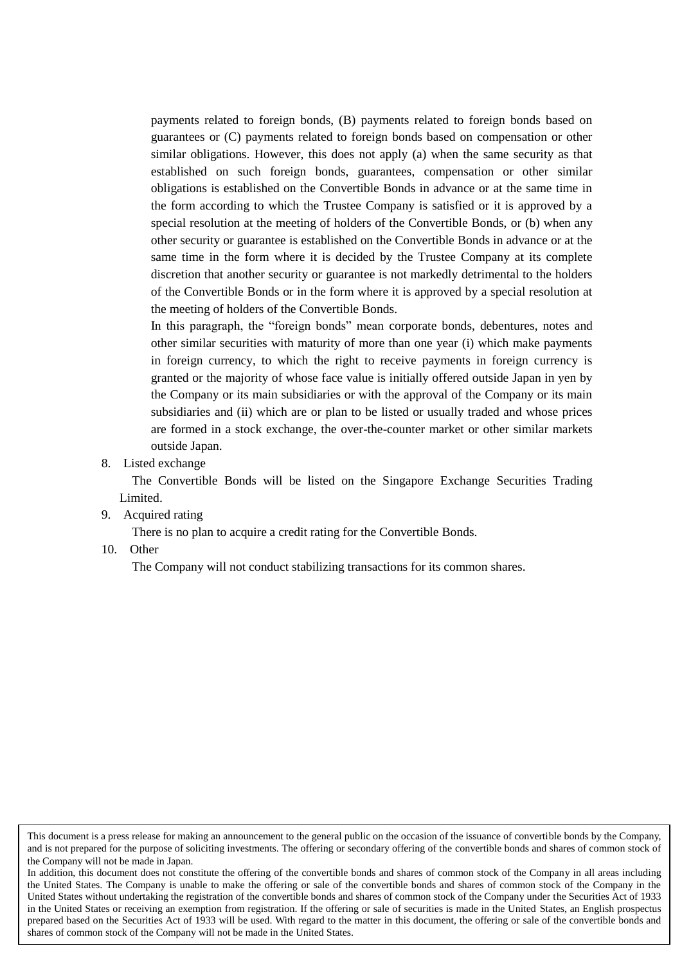payments related to foreign bonds, (B) payments related to foreign bonds based on guarantees or (C) payments related to foreign bonds based on compensation or other similar obligations. However, this does not apply (a) when the same security as that established on such foreign bonds, guarantees, compensation or other similar obligations is established on the Convertible Bonds in advance or at the same time in the form according to which the Trustee Company is satisfied or it is approved by a special resolution at the meeting of holders of the Convertible Bonds, or (b) when any other security or guarantee is established on the Convertible Bonds in advance or at the same time in the form where it is decided by the Trustee Company at its complete discretion that another security or guarantee is not markedly detrimental to the holders of the Convertible Bonds or in the form where it is approved by a special resolution at the meeting of holders of the Convertible Bonds.

In this paragraph, the "foreign bonds" mean corporate bonds, debentures, notes and other similar securities with maturity of more than one year (i) which make payments in foreign currency, to which the right to receive payments in foreign currency is granted or the majority of whose face value is initially offered outside Japan in yen by the Company or its main subsidiaries or with the approval of the Company or its main subsidiaries and (ii) which are or plan to be listed or usually traded and whose prices are formed in a stock exchange, the over-the-counter market or other similar markets outside Japan.

8. Listed exchange

The Convertible Bonds will be listed on the Singapore Exchange Securities Trading Limited.

9. Acquired rating

There is no plan to acquire a credit rating for the Convertible Bonds.

10. Other

The Company will not conduct stabilizing transactions for its common shares.

This document is a press release for making an announcement to the general public on the occasion of the issuance of convertible bonds by the Company, and is not prepared for the purpose of soliciting investments. The offering or secondary offering of the convertible bonds and shares of common stock of the Company will not be made in Japan.

In addition, this document does not constitute the offering of the convertible bonds and shares of common stock of the Company in all areas including the United States. The Company is unable to make the offering or sale of the convertible bonds and shares of common stock of the Company in the United States without undertaking the registration of the convertible bonds and shares of common stock of the Company under the Securities Act of 1933 in the United States or receiving an exemption from registration. If the offering or sale of securities is made in the United States, an English prospectus prepared based on the Securities Act of 1933 will be used. With regard to the matter in this document, the offering or sale of the convertible bonds and shares of common stock of the Company will not be made in the United States.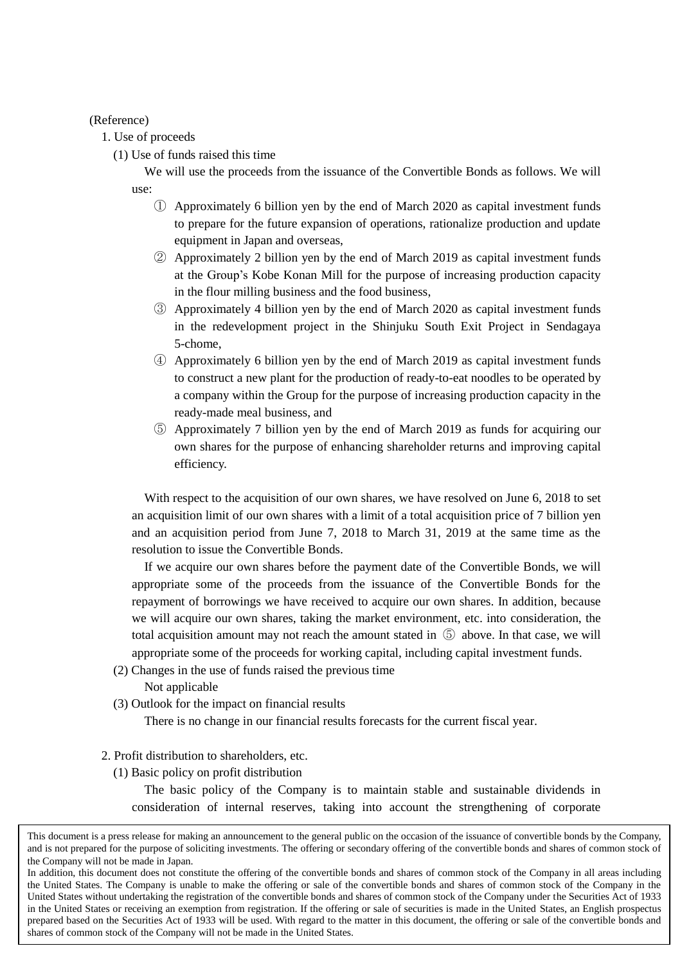(Reference)

1. Use of proceeds

(1) Use of funds raised this time

We will use the proceeds from the issuance of the Convertible Bonds as follows. We will use:

- ① Approximately 6 billion yen by the end of March 2020 as capital investment funds to prepare for the future expansion of operations, rationalize production and update equipment in Japan and overseas,
- ② Approximately 2 billion yen by the end of March 2019 as capital investment funds at the Group's Kobe Konan Mill for the purpose of increasing production capacity in the flour milling business and the food business,
- ③ Approximately 4 billion yen by the end of March 2020 as capital investment funds in the redevelopment project in the Shinjuku South Exit Project in Sendagaya 5-chome,
- ④ Approximately 6 billion yen by the end of March 2019 as capital investment funds to construct a new plant for the production of ready-to-eat noodles to be operated by a company within the Group for the purpose of increasing production capacity in the ready-made meal business, and
- ⑤ Approximately 7 billion yen by the end of March 2019 as funds for acquiring our own shares for the purpose of enhancing shareholder returns and improving capital efficiency.

With respect to the acquisition of our own shares, we have resolved on June 6, 2018 to set an acquisition limit of our own shares with a limit of a total acquisition price of 7 billion yen and an acquisition period from June 7, 2018 to March 31, 2019 at the same time as the resolution to issue the Convertible Bonds.

If we acquire our own shares before the payment date of the Convertible Bonds, we will appropriate some of the proceeds from the issuance of the Convertible Bonds for the repayment of borrowings we have received to acquire our own shares. In addition, because we will acquire our own shares, taking the market environment, etc. into consideration, the total acquisition amount may not reach the amount stated in ⑤ above. In that case, we will appropriate some of the proceeds for working capital, including capital investment funds.

(2) Changes in the use of funds raised the previous time

Not applicable

(3) Outlook for the impact on financial results

There is no change in our financial results forecasts for the current fiscal year.

- 2. Profit distribution to shareholders, etc.
	- (1) Basic policy on profit distribution

The basic policy of the Company is to maintain stable and sustainable dividends in consideration of internal reserves, taking into account the strengthening of corporate

This document is a press release for making an announcement to the general public on the occasion of the issuance of convertible bonds by the Company, and is not prepared for the purpose of soliciting investments. The offering or secondary offering of the convertible bonds and shares of common stock of the Company will not be made in Japan.

In addition, this document does not constitute the offering of the convertible bonds and shares of common stock of the Company in all areas including the United States. The Company is unable to make the offering or sale of the convertible bonds and shares of common stock of the Company in the United States without undertaking the registration of the convertible bonds and shares of common stock of the Company under the Securities Act of 1933 in the United States or receiving an exemption from registration. If the offering or sale of securities is made in the United States, an English prospectus prepared based on the Securities Act of 1933 will be used. With regard to the matter in this document, the offering or sale of the convertible bonds and shares of common stock of the Company will not be made in the United States.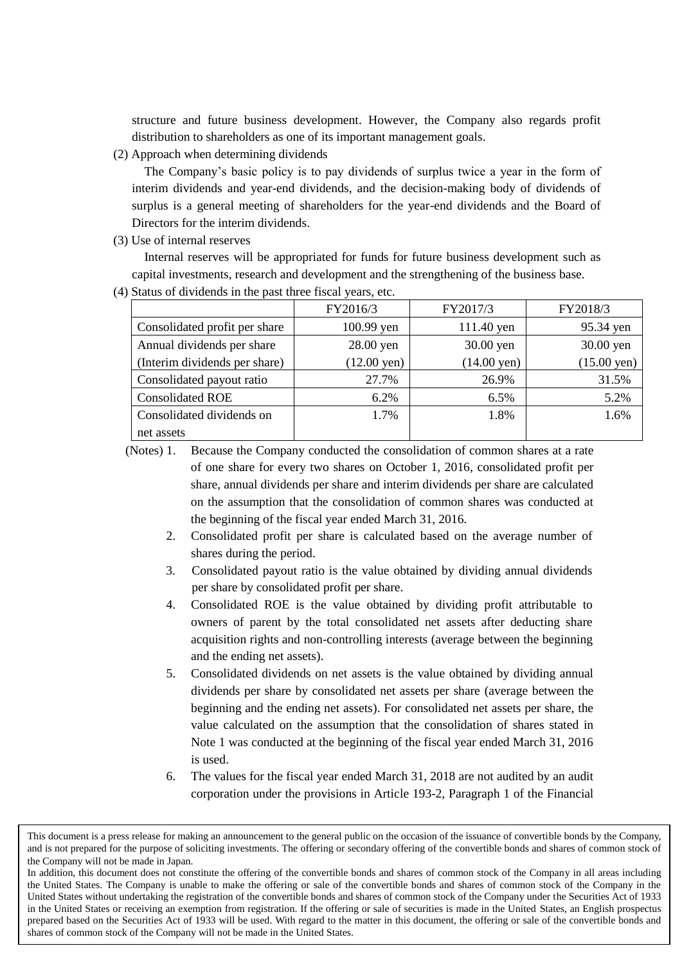structure and future business development. However, the Company also regards profit distribution to shareholders as one of its important management goals.

(2) Approach when determining dividends

The Company's basic policy is to pay dividends of surplus twice a year in the form of interim dividends and year-end dividends, and the decision-making body of dividends of surplus is a general meeting of shareholders for the year-end dividends and the Board of Directors for the interim dividends.

(3) Use of internal reserves

Internal reserves will be appropriated for funds for future business development such as capital investments, research and development and the strengthening of the business base.

(4) Status of dividends in the past three fiscal years, etc.

|                               | FY2016/3                                       | FY2017/3   | FY2018/3              |
|-------------------------------|------------------------------------------------|------------|-----------------------|
| Consolidated profit per share | 100.99 yen                                     | 111.40 yen | 95.34 yen             |
| Annual dividends per share    | $28.00$ yen<br>30.00 yen                       |            | 30.00 yen             |
| (Interim dividends per share) | $(12.00 \text{ yen})$<br>$(14.00 \text{ yen})$ |            | $(15.00 \text{ yen})$ |
| Consolidated payout ratio     | 27.7%                                          | 26.9%      | 31.5%                 |
| <b>Consolidated ROE</b>       | 6.2%                                           | 6.5%       | 5.2%                  |
| Consolidated dividends on     | 1.7%                                           | 1.8%       | 1.6%                  |
| net assets                    |                                                |            |                       |

(Notes) 1. Because the Company conducted the consolidation of common shares at a rate of one share for every two shares on October 1, 2016, consolidated profit per share, annual dividends per share and interim dividends per share are calculated on the assumption that the consolidation of common shares was conducted at the beginning of the fiscal year ended March 31, 2016.

- 2. Consolidated profit per share is calculated based on the average number of shares during the period.
- 3. Consolidated payout ratio is the value obtained by dividing annual dividends per share by consolidated profit per share.
- 4. Consolidated ROE is the value obtained by dividing profit attributable to owners of parent by the total consolidated net assets after deducting share acquisition rights and non-controlling interests (average between the beginning and the ending net assets).
- 5. Consolidated dividends on net assets is the value obtained by dividing annual dividends per share by consolidated net assets per share (average between the beginning and the ending net assets). For consolidated net assets per share, the value calculated on the assumption that the consolidation of shares stated in Note 1 was conducted at the beginning of the fiscal year ended March 31, 2016 is used.
- 6. The values for the fiscal year ended March 31, 2018 are not audited by an audit corporation under the provisions in Article 193-2, Paragraph 1 of the Financial

This document is a press release for making an announcement to the general public on the occasion of the issuance of convertible bonds by the Company, and is not prepared for the purpose of soliciting investments. The offering or secondary offering of the convertible bonds and shares of common stock of the Company will not be made in Japan.

In addition, this document does not constitute the offering of the convertible bonds and shares of common stock of the Company in all areas including the United States. The Company is unable to make the offering or sale of the convertible bonds and shares of common stock of the Company in the United States without undertaking the registration of the convertible bonds and shares of common stock of the Company under the Securities Act of 1933 in the United States or receiving an exemption from registration. If the offering or sale of securities is made in the United States, an English prospectus prepared based on the Securities Act of 1933 will be used. With regard to the matter in this document, the offering or sale of the convertible bonds and shares of common stock of the Company will not be made in the United States.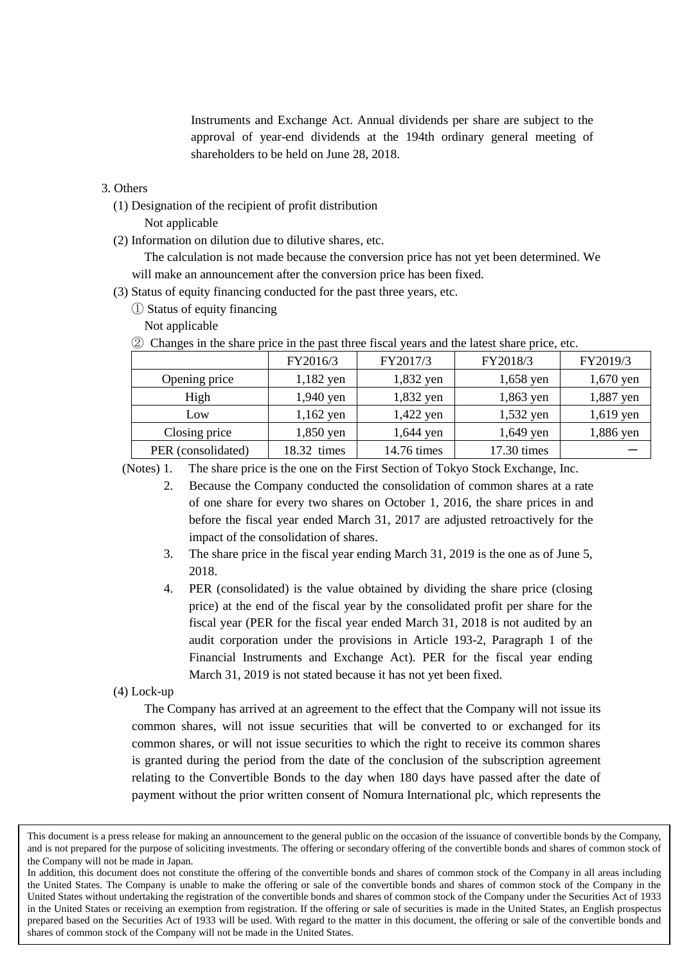Instruments and Exchange Act. Annual dividends per share are subject to the approval of year-end dividends at the 194th ordinary general meeting of shareholders to be held on June 28, 2018.

## 3. Others

- (1) Designation of the recipient of profit distribution
	- Not applicable
- (2) Information on dilution due to dilutive shares, etc.

The calculation is not made because the conversion price has not yet been determined. We will make an announcement after the conversion price has been fixed.

- (3) Status of equity financing conducted for the past three years, etc.
	- ① Status of equity financing

Not applicable

|  |  | 2 Changes in the share price in the past three fiscal years and the latest share price, etc. |
|--|--|----------------------------------------------------------------------------------------------|
|  |  |                                                                                              |

|                    | FY2016/3    | FY2017/3    | FY2018/3    | FY2019/3    |
|--------------------|-------------|-------------|-------------|-------------|
| Opening price      | 1,182 yen   | 1,832 yen   | 1,658 yen   | $1,670$ yen |
| High               | 1,940 yen   | 1,832 yen   | 1,863 yen   | 1,887 yen   |
| Low                | $1,162$ yen | 1,422 yen   | 1,532 yen   | 1,619 yen   |
| Closing price      | 1,850 yen   | 1,644 yen   | 1,649 yen   | 1,886 yen   |
| PER (consolidated) | 18.32 times | 14.76 times | 17.30 times |             |

(Notes) 1. The share price is the one on the First Section of Tokyo Stock Exchange, Inc.

- 2. Because the Company conducted the consolidation of common shares at a rate of one share for every two shares on October 1, 2016, the share prices in and before the fiscal year ended March 31, 2017 are adjusted retroactively for the impact of the consolidation of shares.
- 3. The share price in the fiscal year ending March 31, 2019 is the one as of June 5, 2018.
- 4. PER (consolidated) is the value obtained by dividing the share price (closing price) at the end of the fiscal year by the consolidated profit per share for the fiscal year (PER for the fiscal year ended March 31, 2018 is not audited by an audit corporation under the provisions in Article 193-2, Paragraph 1 of the Financial Instruments and Exchange Act). PER for the fiscal year ending March 31, 2019 is not stated because it has not yet been fixed.

#### (4) Lock-up

The Company has arrived at an agreement to the effect that the Company will not issue its common shares, will not issue securities that will be converted to or exchanged for its common shares, or will not issue securities to which the right to receive its common shares is granted during the period from the date of the conclusion of the subscription agreement relating to the Convertible Bonds to the day when 180 days have passed after the date of payment without the prior written consent of Nomura International plc, which represents the

This document is a press release for making an announcement to the general public on the occasion of the issuance of convertible bonds by the Company, and is not prepared for the purpose of soliciting investments. The offering or secondary offering of the convertible bonds and shares of common stock of the Company will not be made in Japan.

In addition, this document does not constitute the offering of the convertible bonds and shares of common stock of the Company in all areas including the United States. The Company is unable to make the offering or sale of the convertible bonds and shares of common stock of the Company in the United States without undertaking the registration of the convertible bonds and shares of common stock of the Company under the Securities Act of 1933 in the United States or receiving an exemption from registration. If the offering or sale of securities is made in the United States, an English prospectus prepared based on the Securities Act of 1933 will be used. With regard to the matter in this document, the offering or sale of the convertible bonds and shares of common stock of the Company will not be made in the United States.